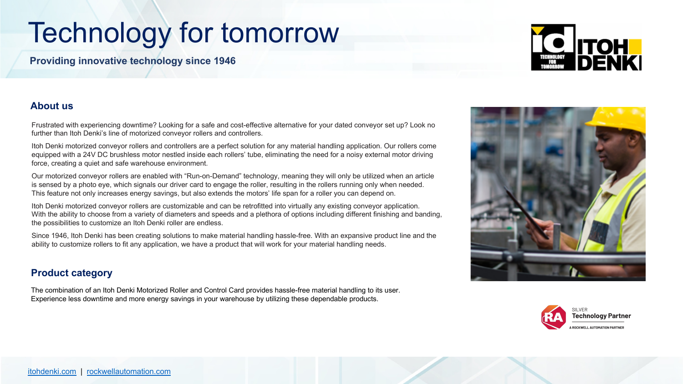# Technology for tomorrow

### **Providing innovative technology since 1946**

## **About us**

Frustrated with experiencing downtime? Looking for a safe and cost-effective alternative for your dated conveyor set up? Look no further than Itoh Denki's line of motorized conveyor rollers and controllers.

Itoh Denki motorized conveyor rollers and controllers are a perfect solution for any material handling application. Our rollers come equipped with a 24V DC brushless motor nestled inside each rollers' tube, eliminating the need for a noisy external motor driving force, creating a quiet and safe warehouse environment.

Our motorized conveyor rollers are enabled with "Run-on-Demand" technology, meaning they will only be utilized when an article is sensed by a photo eye, which signals our driver card to engage the roller, resulting in the rollers running only when needed. [This feature no](http://www.itohdenki.com/)t o[nly increases energy saving](http://www.rockwellautomation.com/)s, but also extends the motors' life span for a roller you can depend on.

Itoh Denki motorized conveyor rollers are customizable and can be retrofitted into virtually any existing conveyor application. With the ability to choose from a variety of diameters and speeds and a plethora of options including different finishing and banding the possibilities to customize an Itoh Denki roller are endless.

Since 1946, Itoh Denki has been creating solutions to make material handling hassle-free. With an expansive product line and the ability to customize rollers to fit any application, we have a product that will work for your material handling needs.

#### **Product category**

The combination of an Itoh Denki Motorized Roller and Control Card provides hassle-free material handling to its user. Experience less downtime and more energy savings in your warehouse by utilizing these dependable products.